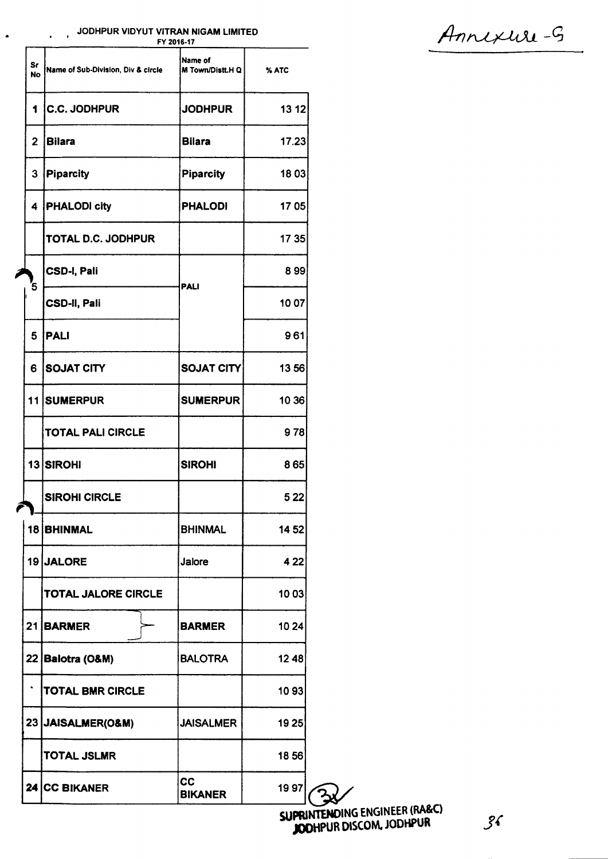### JODHPUR VIDYUT VITRAN NIGAM LIMITED

 $\bullet$ 

 $\mathbf{r}$ 

| % ATC<br>13 12<br>17.23<br>1803 |
|---------------------------------|
|                                 |
|                                 |
|                                 |
|                                 |
| 1705                            |
| 17 35                           |
| 899                             |
| 10 07                           |
| 961                             |
| 1356                            |
| 10 36                           |
| 978                             |
| 865                             |
| 522                             |
| 1452                            |
| 4 2 2                           |
| 10 03                           |
| 10 24                           |
| 1248                            |
| 1093                            |
| 19 25                           |
| 1856                            |
|                                 |
|                                 |

Annexure-G

 $\mathcal{X}$ SUPRINTENDING ENGINEER (RA&C)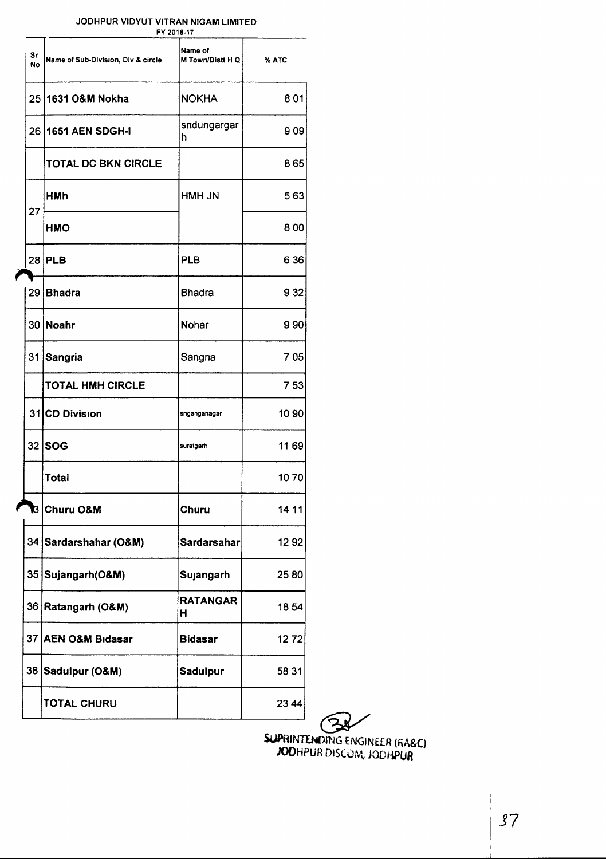#### JODHPUR VIDYUT VITRAN NIGAM LIMITED

|          |                                    | FY 2016-17                  |       |
|----------|------------------------------------|-----------------------------|-------|
| Sr<br>No | Name of Sub-Division, Div & circle | Name of<br>M Town/Distt H Q | % ATC |
| 25       | 1631 O&M Nokha                     | <b>NOKHA</b>                | 801   |
| 26       | 1651 AEN SDGH-I                    | sridungargar<br>h           | 9 09  |
|          | <b>TOTAL DC BKN CIRCLE</b>         |                             | 865   |
| 27       | HMh                                | HMH JN                      | 563   |
|          | HMO                                |                             | 800   |
|          | 28 PLB                             | <b>PLB</b>                  | 6 3 6 |
| 29       | Bhadra                             | <b>Bhadra</b>               | 9 3 2 |
|          | 30 Noahr                           | Nohar                       | 990   |
|          | 31 Sangria                         | Sangria                     | 705   |
|          | <b>TOTAL HMH CIRCLE</b>            |                             | 753   |
|          | 31 CD Division                     | snganganagar                | 10 90 |
|          | 32 SOG                             | suratgarh                   | 1169  |
|          | Total                              |                             | 1070  |
|          | B ∣Churu O&M                       | Churu                       | 14 11 |
|          | 34 Sardarshahar (O&M)              | <b>Sardarsahar</b>          | 1292  |
|          | 35 Sujangarh (O&M)                 | Sujangarh                   | 2580  |
|          | 36 Ratangarh (O&M)                 | <b>RATANGAR</b><br>н        | 1854  |
|          | 37 AEN O&M Bidasar                 | <b>Bidasar</b>              | 1272  |
|          | 38 Sadulpur (O&M)                  | Sadulpur                    | 58 31 |
|          | <b>TOTAL CHURU</b>                 |                             | 23 44 |

~

SUPRINTENDING ENGINEER (RA&C) JODHPUR DIS(0fl., JODHPUR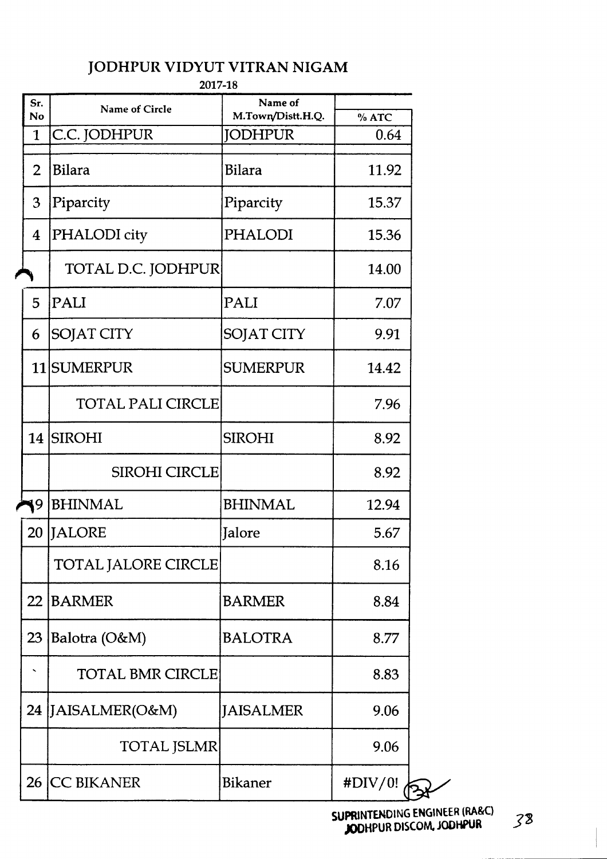|                          | 2017-18                 |                                     |              |
|--------------------------|-------------------------|-------------------------------------|--------------|
| Sr.<br>No                | <b>Name of Circle</b>   | Name of                             |              |
| $\mathbf{1}$             | C.C. JODHPUR            | M.Town/Distt.H.Q.<br><b>JODHPUR</b> | %ATC<br>0.64 |
|                          |                         |                                     |              |
| $\overline{2}$           | <b>Bilara</b>           | <b>Bilara</b>                       | 11.92        |
| 3                        | Piparcity               | Piparcity                           | 15.37        |
| 4                        | PHALODI city            | PHALODI                             | 15.36        |
|                          | TOTAL D.C. JODHPUR      |                                     | 14.00        |
| 5                        | PALI                    | PALI                                | 7.07         |
| 6                        | <b>SOJAT CITY</b>       | <b>SOJAT CITY</b>                   | 9.91         |
|                          | 11 SUMERPUR             | <b>SUMERPUR</b>                     | 14.42        |
|                          | TOTAL PALI CIRCLE       |                                     | 7.96         |
|                          | 14 SIROHI               | <b>SIROHI</b>                       | 8.92         |
|                          | <b>SIROHI CIRCLE</b>    |                                     | 8.92         |
| 9                        | <b>BHINMAL</b>          | <b>BHINMAL</b>                      | 12.94        |
|                          | 20 JALORE               | Jalore                              | 5.67         |
|                          | TOTAL JALORE CIRCLE     |                                     | 8.16         |
|                          | 22 BARMER               | <b>BARMER</b>                       | 8.84         |
| 23                       | Balotra (O&M)           | <b>BALOTRA</b>                      | 8.77         |
| $\overline{\phantom{a}}$ | <b>TOTAL BMR CIRCLE</b> |                                     | 8.83         |
|                          | 24 JAISALMER(O&M)       | JAISALMER                           | 9.06         |
|                          | <b>TOTAL JSLMR</b>      |                                     | 9.06         |
| 26                       | <b>CC BIKANER</b>       | Bikaner                             | #DIV/0!      |

SUPRlNTENDING ENGINEER (RA&C) JODHPUR DISCOM.JODHPUR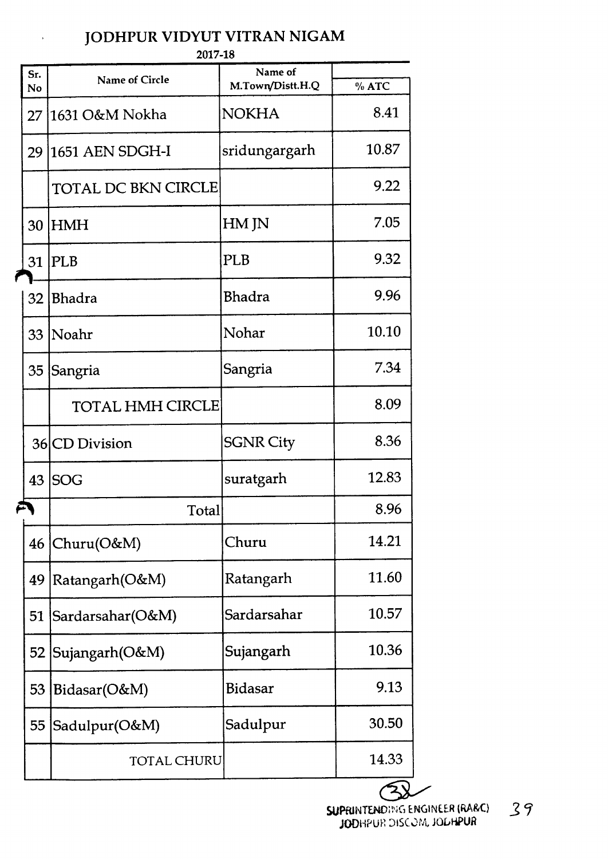$\ddot{\phantom{a}}$ 

2017-18

| Sr. |                            | Name of          |       |
|-----|----------------------------|------------------|-------|
| No  | <b>Name of Circle</b>      | M.Town/Distt.H.Q | %ATC  |
| 27  | 1631 O&M Nokha             | <b>NOKHA</b>     | 8.41  |
| 29  | 1651 AEN SDGH-I            | sridungargarh    | 10.87 |
|     | <b>TOTAL DC BKN CIRCLE</b> |                  | 9.22  |
| 30  | <b>HMH</b>                 | HM JN            | 7.05  |
| 31  | <b>PLB</b>                 | PLB              | 9.32  |
| 32  | <b>Bhadra</b>              | <b>Bhadra</b>    | 9.96  |
| 33  | <i>Noahr</i>               | Nohar            | 10.10 |
| 35  | Sangria                    | Sangria          | 7.34  |
|     | TOTAL HMH CIRCLE           |                  | 8.09  |
|     | 36 CD Division             | <b>SGNR City</b> | 8.36  |
| 43  | <b>SOG</b>                 | suratgarh        | 12.83 |
|     | Total                      |                  | 8.96  |
|     | $46$ Churu(O&M)            | Churu            | 14.21 |
| 49  | Ratangarh(O&M)             | Ratangarh        | 11.60 |
| 51  | Sardarsahar(O&M)           | Sardarsahar      | 10.57 |
| 52  | Sujangarh(O&M)             | Sujangarh        | 10.36 |
| 53  | Bidasar(O&M)               | <b>Bidasar</b>   | 9.13  |
| 55  | Sadulpur(O&M)              | Sadulpur         | 30.50 |
|     | <b>TOTAL CHURU</b>         |                  | 14.33 |
|     |                            |                  |       |

SUPRINTENDING ENGINEER (RA&C) 39 JODHPUR DISCOM, JOLHPUR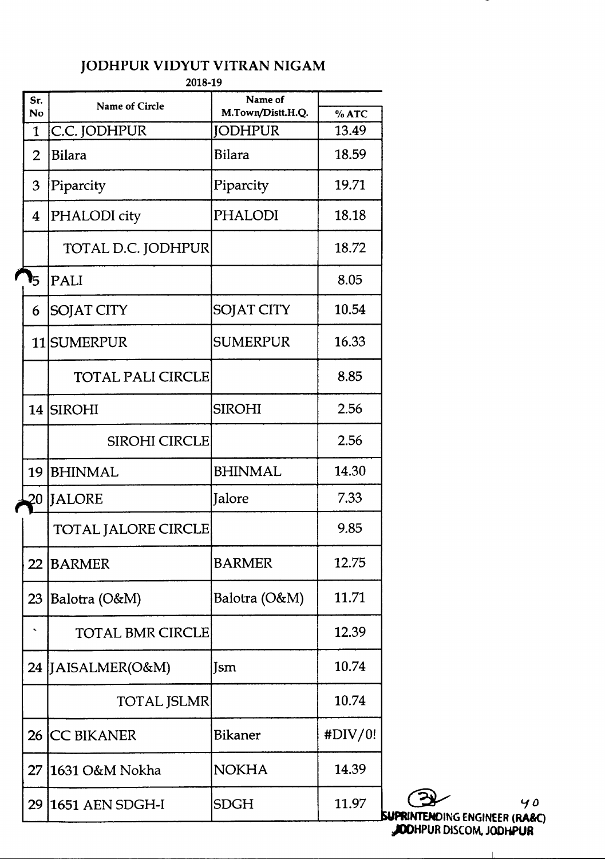2018-19

| Sr.<br>No      | <b>Name of Circle</b>      | Name of<br>M.Town/Distt.H.Q. | %ATC    |
|----------------|----------------------------|------------------------------|---------|
| $\mathbf{1}$   | C.C. JODHPUR               | <b>JODHPUR</b>               | 13.49   |
| $\overline{2}$ | <b>Bilara</b>              | <b>Bilara</b>                | 18.59   |
| 3              | Piparcity                  | Piparcity                    | 19.71   |
| 4              | PHALODI city               | <b>PHALODI</b>               | 18.18   |
|                | TOTAL D.C. JODHPUR         |                              | 18.72   |
| 5              | PALI                       |                              | 8.05    |
| 6              | <b>SOJAT CITY</b>          | <b>SOJAT CITY</b>            | 10.54   |
|                | 11 SUMERPUR                | <b>SUMERPUR</b>              | 16.33   |
|                | <b>TOTAL PALI CIRCLE</b>   |                              | 8.85    |
| 14             | <b>SIROHI</b>              | <b>SIROHI</b>                | 2.56    |
|                | SIROHI CIRCLE              |                              | 2.56    |
| 19             | <b>BHINMAL</b>             | <b>BHINMAL</b>               | 14.30   |
| 20             | <b>JALORE</b>              | Jalore                       | 7.33    |
|                | <b>TOTAL JALORE CIRCLE</b> |                              | 9.85    |
| 22             | <b>BARMER</b>              | <b>BARMER</b>                | 12.75   |
| 23             | Balotra (O&M)              | Balotra (O&M)                | 11.71   |
|                | <b>TOTAL BMR CIRCLE</b>    |                              | 12.39   |
|                | 24 JAISALMER(O&M)          | Jsm                          | 10.74   |
|                | <b>TOTAL JSLMR</b>         |                              | 10.74   |
| 26             | <b>CC BIKANER</b>          | Bikaner                      | #DIV/0! |
| 27             | 1631 O&M Nokha             | <b>NOKHA</b>                 | 14.39   |
| 29             | 1651 AEN SDGH-I            | <b>SDGH</b>                  | 11.97   |

 $40$ **SUPRINTENDING ENGINEER (RA&C)**<br>JOOHPUR DISCOM, JODHPUR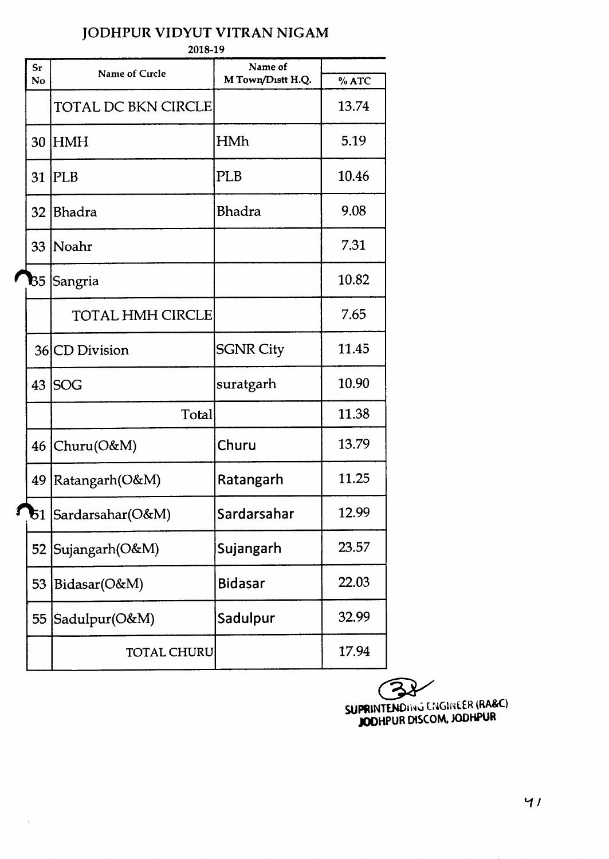| JODHPUR VIDYUT VITRAN NIGAM |  |
|-----------------------------|--|
|-----------------------------|--|

2018-19

| $S_{r}$<br>No | Name of Circle             | Name of<br>M Town/Distt H.Q. | % ATC |
|---------------|----------------------------|------------------------------|-------|
|               | <b>TOTAL DC BKN CIRCLE</b> |                              | 13.74 |
| 30            | <b>HMH</b>                 | HMh                          | 5.19  |
| 31            | <b>IPLB</b>                | <b>PLB</b>                   | 10.46 |
| 32            | <b>Bhadra</b>              | Bhadra                       | 9.08  |
| 33            | Noahr                      |                              | 7.31  |
| B5            | Sangria                    |                              | 10.82 |
|               | <b>TOTAL HMH CIRCLE</b>    |                              | 7.65  |
|               | 36 CD Division             | <b>SGNR City</b>             | 11.45 |
| 43            | <b>SOG</b>                 | suratgarh                    | 10.90 |
|               | Total                      |                              | 11.38 |
|               | $46$ Churu(O&M)            | Churu                        | 13.79 |
| 49            | Ratangarh(O&M)             | Ratangarh                    | 11.25 |
| 51            | Sardarsahar(O&M)           | Sardarsahar                  | 12.99 |
|               | 52 Sujangarh (O&M)         | Sujangarh                    | 23.57 |
| 53            | Bidasar(O&M)               | <b>Bidasar</b>               | 22.03 |
| 55            | Sadulpur(O&M)              | Sadulpur                     | 32.99 |
|               | <b>TOTAL CHURU</b>         |                              | 17.94 |

Í

 $\mathbf{F}^{\prime}$ 

**EXAMINER (RA&C)**<br>SUPRINTENDING CNGINEER (RA&C) JODHPUR DlSCOM, JODHPUR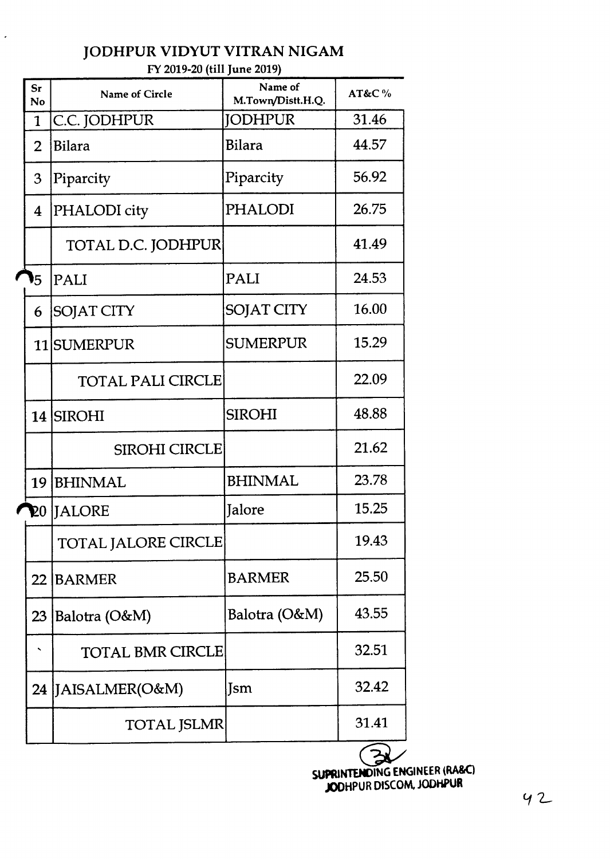|                | FY 2019-20 (the june 2019) |                              |       |
|----------------|----------------------------|------------------------------|-------|
| Sr<br>No       | <b>Name of Circle</b>      | Name of<br>M.Town/Distt.H.Q. | AT&C% |
| $\mathbf{1}$   | C.C. JODHPUR               | JODHPUR                      | 31.46 |
| $\overline{2}$ | <b>Bilara</b>              | Bilara                       | 44.57 |
| 3              | Piparcity                  | Piparcity                    | 56.92 |
| $\overline{4}$ | PHALODI city               | <b>PHALODI</b>               | 26.75 |
|                | TOTAL D.C. JODHPUR         |                              | 41.49 |
| 5              | PALI                       | PALI                         | 24.53 |
| 6              | SOJAT CITY                 | <b>SOJAT CITY</b>            | 16.00 |
|                | 11 SUMERPUR                | SUMERPUR                     | 15.29 |
|                | <b>TOTAL PALI CIRCLE</b>   |                              | 22.09 |
|                | 14 SIROHI                  | <b>SIROHI</b>                | 48.88 |
|                | <b>SIROHI CIRCLE</b>       |                              | 21.62 |
| 19             | <b>BHINMAL</b>             | <b>BHINMAL</b>               | 23.78 |
| 20             | <b>IJALORE</b>             | Jalore                       | 15.25 |
|                | <b>TOTAL JALORE CIRCLE</b> |                              | 19.43 |
| 22             | <b>BARMER</b>              | <b>BARMER</b>                | 25.50 |
| 23             | Balotra (O&M)              | Balotra (O&M)                | 43.55 |
|                | <b>TOTAL BMR CIRCLE</b>    |                              | 32.51 |
|                | 24 JAISALMER(O&M)          | Jsm                          | 32.42 |
|                |                            |                              |       |

TOTAL JSLMR 31.41

#### JODHPUR VIDYUT VITRAN NIGAM  $F(20.90/441$   $L_{\text{max}}$   $2019$

 $\hat{\boldsymbol{\epsilon}}$ 

**SUPRINTENDING ENGINEER (RA&C)** JODHPUR DISCOM, JODHPUR